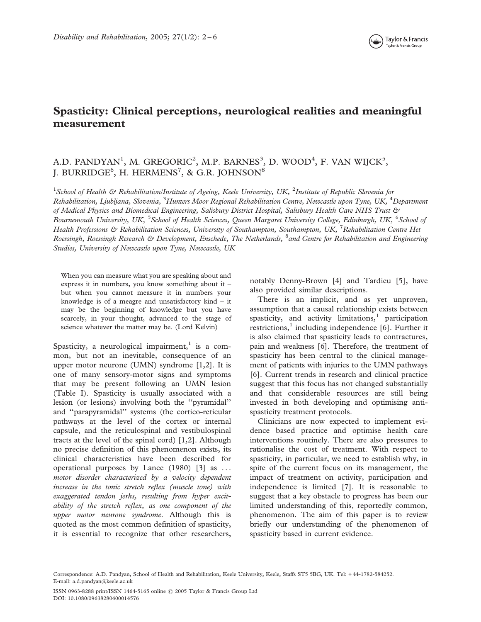# Spasticity: Clinical perceptions, neurological realities and meaningful measurement

## A.D. PANDYAN<sup>1</sup>, M. GREGORIC<sup>2</sup>, M.P. BARNES<sup>3</sup>, D. WOOD<sup>4</sup>, F. VAN WIJCK<sup>5</sup>, J. BURRIDGE $^6$ , H. HERMENS $^7$ , & G.R. JOHNSON $^8$

<sup>1</sup>School of Health & Rehabilitation/Institute of Ageing, Keele University, UK, <sup>2</sup>Institute of Republic Slovenia for Rehabilitation, Ljubljana, Slovenia, <sup>3</sup>Hunters Moor Regional Rehabilitation Centre, Newcastle upon Tyne, UK, <sup>4</sup>Department of Medical Physics and Biomedical Engineering, Salisbury District Hospital, Salisbury Health Care NHS Trust & Bournemouth University, UK, <sup>5</sup>School of Health Sciences, Queen Margaret University College, Edinburgh, UK, <sup>6</sup>School of Health Professions & Rehabilitation Sciences, University of Southampton, Southampton, UK, <sup>7</sup>Rehabilitation Centre Het Roessingh, Roessingh Research & Development, Enschede, The Netherlands, <sup>8</sup>and Centre for Rehabilitation and Engineering Studies, University of Newcastle upon Tyne, Newcastle, UK

When you can measure what you are speaking about and express it in numbers, you know something about it – but when you cannot measure it in numbers your knowledge is of a meagre and unsatisfactory kind – it may be the beginning of knowledge but you have scarcely, in your thought, advanced to the stage of science whatever the matter may be. (Lord Kelvin)

Spasticity, a neurological impairment, $<sup>1</sup>$  is a com-</sup> mon, but not an inevitable, consequence of an upper motor neurone (UMN) syndrome [1,2]. It is one of many sensory-motor signs and symptoms that may be present following an UMN lesion (Table I). Spasticity is usually associated with a lesion (or lesions) involving both the ''pyramidal'' and ''parapyramidal'' systems (the cortico-reticular pathways at the level of the cortex or internal capsule, and the reticulospinal and vestibulospinal tracts at the level of the spinal cord) [1,2]. Although no precise definition of this phenomenon exists, its clinical characteristics have been described for operational purposes by Lance (1980) [3] as . . . motor disorder characterized by a velocity dependent increase in the tonic stretch reflex (muscle tone) with exaggerated tendon jerks, resulting from hyper excitability of the stretch reflex, as one component of the upper motor neurone syndrome. Although this is quoted as the most common definition of spasticity, it is essential to recognize that other researchers, notably Denny-Brown [4] and Tardieu [5], have also provided similar descriptions.

There is an implicit, and as yet unproven, assumption that a causal relationship exists between spasticity, and activity limitations, $1$  participation restrictions, $<sup>1</sup>$  including independence [6]. Further it</sup> is also claimed that spasticity leads to contractures, pain and weakness [6]. Therefore, the treatment of spasticity has been central to the clinical management of patients with injuries to the UMN pathways [6]. Current trends in research and clinical practice suggest that this focus has not changed substantially and that considerable resources are still being invested in both developing and optimising antispasticity treatment protocols.

Clinicians are now expected to implement evidence based practice and optimise health care interventions routinely. There are also pressures to rationalise the cost of treatment. With respect to spasticity, in particular, we need to establish why, in spite of the current focus on its management, the impact of treatment on activity, participation and independence is limited [7]. It is reasonable to suggest that a key obstacle to progress has been our limited understanding of this, reportedly common, phenomenon. The aim of this paper is to review briefly our understanding of the phenomenon of spasticity based in current evidence.

Correspondence: A.D. Pandyan, School of Health and Rehabilitation, Keele University, Keele, Staffs ST5 5BG, UK. Tel: + 44-1782-584252. E-mail: a.d.pandyan@keele.ac.uk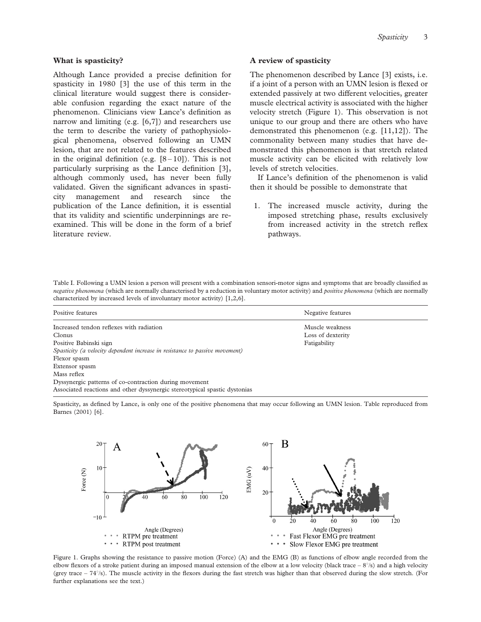## What is spasticity?

Although Lance provided a precise definition for spasticity in 1980 [3] the use of this term in the clinical literature would suggest there is considerable confusion regarding the exact nature of the phenomenon. Clinicians view Lance's definition as narrow and limiting (e.g. [6,7]) and researchers use the term to describe the variety of pathophysiological phenomena, observed following an UMN lesion, that are not related to the features described in the original definition (e.g.  $[8-10]$ ). This is not particularly surprising as the Lance definition [3], although commonly used, has never been fully validated. Given the significant advances in spasticity management and research since the publication of the Lance definition, it is essential that its validity and scientific underpinnings are reexamined. This will be done in the form of a brief literature review.

## A review of spasticity

The phenomenon described by Lance [3] exists, i.e. if a joint of a person with an UMN lesion is flexed or extended passively at two different velocities, greater muscle electrical activity is associated with the higher velocity stretch (Figure 1). This observation is not unique to our group and there are others who have demonstrated this phenomenon (e.g. [11,12]). The commonality between many studies that have demonstrated this phenomenon is that stretch related muscle activity can be elicited with relatively low levels of stretch velocities.

If Lance's definition of the phenomenon is valid then it should be possible to demonstrate that

1. The increased muscle activity, during the imposed stretching phase, results exclusively from increased activity in the stretch reflex pathways.

Table I. Following a UMN lesion a person will present with a combination sensori-motor signs and symptoms that are broadly classified as negative phenomena (which are normally characterised by a reduction in voluntary motor activity) and positive phenomena (which are normally characterized by increased levels of involuntary motor activity) [1,2,6].

| Positive features                                                            | Negative features |  |
|------------------------------------------------------------------------------|-------------------|--|
| Increased tendon reflexes with radiation                                     | Muscle weakness   |  |
| Clonus                                                                       | Loss of dexterity |  |
| Positive Babinski sign                                                       | Fatigability      |  |
| Spasticity (a velocity dependent increase in resistance to passive movement) |                   |  |
| Flexor spasm                                                                 |                   |  |
| Extensor spasm                                                               |                   |  |
| Mass reflex                                                                  |                   |  |
| Dyssynergic patterns of co-contraction during movement                       |                   |  |
| Associated reactions and other dyssynergic stereotypical spastic dystonias   |                   |  |

Spasticity, as defined by Lance, is only one of the positive phenomena that may occur following an UMN lesion. Table reproduced from Barnes (2001) [6].



Figure 1. Graphs showing the resistance to passive motion (Force) (A) and the EMG (B) as functions of elbow angle recorded from the elbow flexors of a stroke patient during an imposed manual extension of the elbow at a low velocity (black trace  $-8^{\circ}/s$ ) and a high velocity (grey trace  $-74\%$ ). The muscle activity in the flexors during the fast stretch was higher than that observed during the slow stretch. (For further explanations see the text.)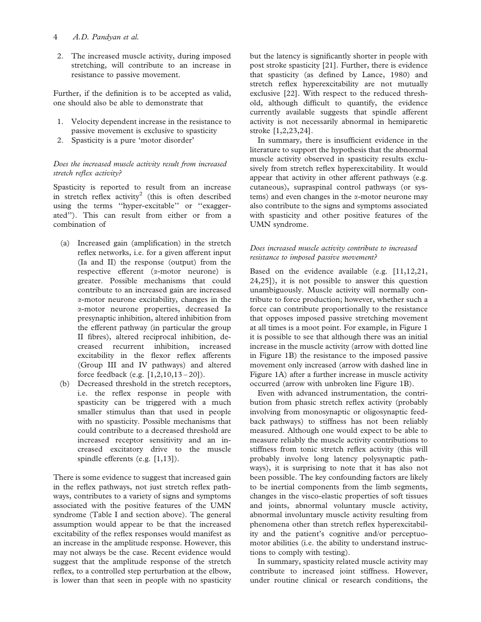## 4 A.D. Pandyan et al.

2. The increased muscle activity, during imposed stretching, will contribute to an increase in resistance to passive movement.

Further, if the definition is to be accepted as valid, one should also be able to demonstrate that

- 1. Velocity dependent increase in the resistance to passive movement is exclusive to spasticity
- 2. Spasticity is a pure 'motor disorder'

## Does the increased muscle activity result from increased stretch reflex activity?

Spasticity is reported to result from an increase in stretch reflex activity<sup>2</sup> (this is often described using the terms ''hyper-excitable'' or ''exaggerated''). This can result from either or from a combination of

- (a) Increased gain (amplification) in the stretch reflex networks, i.e. for a given afferent input (Ia and II) the response (output) from the respective efferent (a-motor neurone) is greater. Possible mechanisms that could contribute to an increased gain are increased a-motor neurone excitability, changes in the a-motor neurone properties, decreased Ia presynaptic inhibition, altered inhibition from the efferent pathway (in particular the group II fibres), altered reciprocal inhibition, decreased recurrent inhibition, increased excitability in the flexor reflex afferents (Group III and IV pathways) and altered force feedback (e.g. [1,2,10,13 – 20]).
- (b) Decreased threshold in the stretch receptors, i.e. the reflex response in people with spasticity can be triggered with a much smaller stimulus than that used in people with no spasticity. Possible mechanisms that could contribute to a decreased threshold are increased receptor sensitivity and an increased excitatory drive to the muscle spindle efferents (e.g. [1,13]).

There is some evidence to suggest that increased gain in the reflex pathways, not just stretch reflex pathways, contributes to a variety of signs and symptoms associated with the positive features of the UMN syndrome (Table I and section above). The general assumption would appear to be that the increased excitability of the reflex responses would manifest as an increase in the amplitude response. However, this may not always be the case. Recent evidence would suggest that the amplitude response of the stretch reflex, to a controlled step perturbation at the elbow, is lower than that seen in people with no spasticity

but the latency is significantly shorter in people with post stroke spasticity [21]. Further, there is evidence that spasticity (as defined by Lance, 1980) and stretch reflex hyperexcitability are not mutually exclusive [22]. With respect to the reduced threshold, although difficult to quantify, the evidence currently available suggests that spindle afferent activity is not necessarily abnormal in hemiparetic stroke [1,2,23,24].

In summary, there is insufficient evidence in the literature to support the hypothesis that the abnormal muscle activity observed in spasticity results exclusively from stretch reflex hyperexcitability. It would appear that activity in other afferent pathways (e.g. cutaneous), supraspinal control pathways (or systems) and even changes in the  $\alpha$ -motor neurone may also contribute to the signs and symptoms associated with spasticity and other positive features of the UMN syndrome.

## Does increased muscle activity contribute to increased resistance to imposed passive movement?

Based on the evidence available (e.g. [11,12,21, 24,25]), it is not possible to answer this question unambiguously. Muscle activity will normally contribute to force production; however, whether such a force can contribute proportionally to the resistance that opposes imposed passive stretching movement at all times is a moot point. For example, in Figure 1 it is possible to see that although there was an initial increase in the muscle activity (arrow with dotted line in Figure 1B) the resistance to the imposed passive movement only increased (arrow with dashed line in Figure 1A) after a further increase in muscle activity occurred (arrow with unbroken line Figure 1B).

Even with advanced instrumentation, the contribution from phasic stretch reflex activity (probably involving from monosynaptic or oligosynaptic feedback pathways) to stiffness has not been reliably measured. Although one would expect to be able to measure reliably the muscle activity contributions to stiffness from tonic stretch reflex activity (this will probably involve long latency polysynaptic pathways), it is surprising to note that it has also not been possible. The key confounding factors are likely to be inertial components from the limb segments, changes in the visco-elastic properties of soft tissues and joints, abnormal voluntary muscle activity, abnormal involuntary muscle activity resulting from phenomena other than stretch reflex hyperexcitability and the patient's cognitive and/or perceptuomotor abilities (i.e. the ability to understand instructions to comply with testing).

In summary, spasticity related muscle activity may contribute to increased joint stiffness. However, under routine clinical or research conditions, the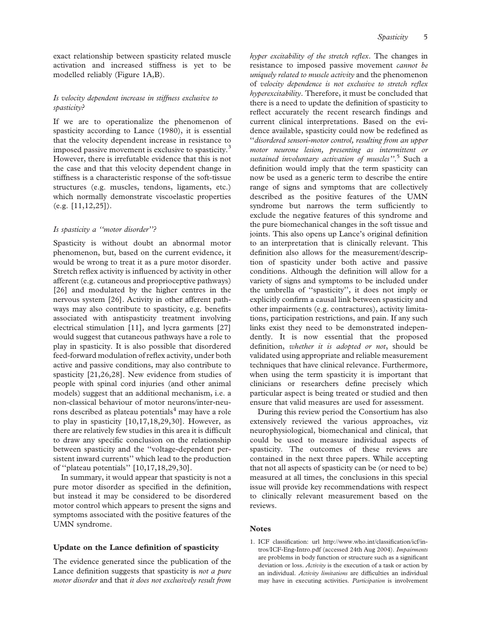exact relationship between spasticity related muscle activation and increased stiffness is yet to be modelled reliably (Figure 1A,B).

## Is velocity dependent increase in stiffness exclusive to spasticity?

If we are to operationalize the phenomenon of spasticity according to Lance (1980), it is essential that the velocity dependent increase in resistance to imposed passive movement is exclusive to spasticity.<sup>3</sup> However, there is irrefutable evidence that this is not the case and that this velocity dependent change in stiffness is a characteristic response of the soft-tissue structures (e.g. muscles, tendons, ligaments, etc.) which normally demonstrate viscoelastic properties (e.g. [11,12,25]).

## Is spasticity a ''motor disorder''?

Spasticity is without doubt an abnormal motor phenomenon, but, based on the current evidence, it would be wrong to treat it as a pure motor disorder. Stretch reflex activity is influenced by activity in other afferent (e.g. cutaneous and proprioceptive pathways) [26] and modulated by the higher centres in the nervous system [26]. Activity in other afferent pathways may also contribute to spasticity, e.g. benefits associated with antispasticity treatment involving electrical stimulation [11], and lycra garments [27] would suggest that cutaneous pathways have a role to play in spasticity. It is also possible that disordered feed-forward modulation of reflex activity, under both active and passive conditions, may also contribute to spasticity [21,26,28]. New evidence from studies of people with spinal cord injuries (and other animal models) suggest that an additional mechanism, i.e. a non-classical behaviour of motor neurons/inter-neurons described as plateau potentials $4$  may have a role to play in spasticity  $[10,17,18,29,30]$ . However, as there are relatively few studies in this area it is difficult to draw any specific conclusion on the relationship between spasticity and the ''voltage-dependent persistent inward currents'' which lead to the production of ''plateau potentials'' [10,17,18,29,30].

In summary, it would appear that spasticity is not a pure motor disorder as specified in the definition, but instead it may be considered to be disordered motor control which appears to present the signs and symptoms associated with the positive features of the UMN syndrome.

## Update on the Lance definition of spasticity

The evidence generated since the publication of the Lance definition suggests that spasticity is *not a pure* motor disorder and that it does not exclusively result from

hyper excitability of the stretch reflex. The changes in resistance to imposed passive movement cannot be uniquely related to muscle activity and the phenomenon of velocity dependence is not exclusive to stretch reflex hyperexcitability. Therefore, it must be concluded that there is a need to update the definition of spasticity to reflect accurately the recent research findings and current clinical interpretations. Based on the evidence available, spasticity could now be redefined as ''disordered sensori-motor control, resulting from an upper motor neurone lesion, presenting as intermittent or sustained involuntary activation of muscles".<sup>5</sup> Such a definition would imply that the term spasticity can now be used as a generic term to describe the entire range of signs and symptoms that are collectively described as the positive features of the UMN syndrome but narrows the term sufficiently to exclude the negative features of this syndrome and the pure biomechanical changes in the soft tissue and joints. This also opens up Lance's original definition to an interpretation that is clinically relevant. This definition also allows for the measurement/description of spasticity under both active and passive conditions. Although the definition will allow for a variety of signs and symptoms to be included under the umbrella of ''spasticity'', it does not imply or explicitly confirm a causal link between spasticity and other impairments (e.g. contractures), activity limitations, participation restrictions, and pain. If any such links exist they need to be demonstrated independently. It is now essential that the proposed definition, whether it is adopted or not, should be validated using appropriate and reliable measurement techniques that have clinical relevance. Furthermore, when using the term spasticity it is important that clinicians or researchers define precisely which particular aspect is being treated or studied and then ensure that valid measures are used for assessment.

During this review period the Consortium has also extensively reviewed the various approaches, viz neurophysiological, biomechanical and clinical, that could be used to measure individual aspects of spasticity. The outcomes of these reviews are contained in the next three papers. While accepting that not all aspects of spasticity can be (or need to be) measured at all times, the conclusions in this special issue will provide key recommendations with respect to clinically relevant measurement based on the reviews.

## **Notes**

1. ICF classification: url http://www.who.int/classification/icf/intros/ICF-Eng-Intro.pdf (accessed 24th Aug 2004). Impairments are problems in body function or structure such as a significant deviation or loss. Activity is the execution of a task or action by an individual. Activity limitations are difficulties an individual may have in executing activities. Participation is involvement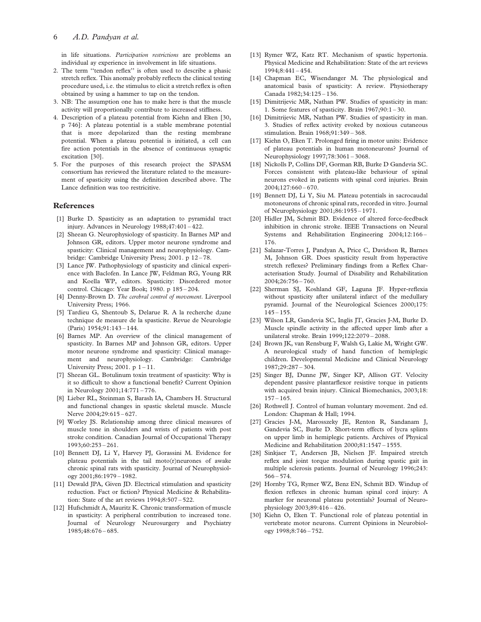in life situations. Participation restrictions are problems an individual ay experience in involvement in life situations.

- 2. The term ''tendon reflex'' is often used to describe a phasic stretch reflex. This anomaly probably reflects the clinical testing procedure used, i.e. the stimulus to elicit a stretch reflex is often obtained by using a hammer to tap on the tendon.
- 3. NB: The assumption one has to make here is that the muscle activity will proportionally contribute to increased stiffness.
- 4. Description of a plateau potential from Kiehn and Eken [30, p 746]: A plateau potential is a stable membrane potential that is more depolarized than the resting membrane potential. When a plateau potential is initiated, a cell can fire action potentials in the absence of continuous synaptic excitation [30].
- 5. For the purposes of this research project the SPASM consortium has reviewed the literature related to the measurement of spasticity using the definition described above. The Lance definition was too restricitive.

#### References

- [1] Burke D. Spasticity as an adaptation to pyramidal tract injury. Advances in Neurology 1988;47:401 – 422.
- [2] Sheean G. Neurophysiology of spasticity. In Barnes MP and Johnson GR, editors. Upper motor neurone syndrome and spasticity: Clinical management and neurophysiology. Cambridge: Cambridge University Press; 2001. p 12 – 78.
- [3] Lance JW. Pathophysiology of spasticity and clinical experience with Baclofen. In Lance JW, Feldman RG, Young RR and Koella WP, editors. Spasticity: Disordered motor control. Chicago: Year Book; 1980. p 185 – 204.
- [4] Denny-Brown D. The cerebral control of movement. Liverpool University Press; 1966.
- [5] Tardieu G, Shentoub S, Delarue R. A la recherche d;une technique de measure de la spasticite. Revue de Neurologie (Paris) 1954;91:143 – 144.
- [6] Barnes MP. An overview of the clinical management of spasticity. In Barnes MP and Johnson GR, editors. Upper motor neurone syndrome and spasticity: Clinical management and neurophysiology. Cambridge: Cambridge University Press; 2001. p  $1 - 11$ .
- [7] Sheean GL. Botulinum toxin treatment of spasticity: Why is it so difficult to show a functional benefit? Current Opinion in Neurology 2001;14:771 – 776.
- [8] Lieber RL, Steinman S, Barash IA, Chambers H. Structural and functional changes in spastic skeletal muscle. Muscle Nerve 2004;29:615 – 627.
- [9] Worley JS. Relationship among three clinical measures of muscle tone in shoulders and wrists of patients with post stroke condition. Canadian Journal of Occupational Therapy 1993;60:253 – 261.
- [10] Bennett DJ, Li Y, Harvey PJ, Gorassini M. Evidence for plateau potentials in the tail moto(r)neurones of awake chronic spinal rats with spasticity. Journal of Neurophysiology 2001;86:1979 – 1982.
- [11] Dewald JPA, Given JD. Electrical stimulation and spasticity reduction. Fact or fiction? Physical Medicine & Rehabilitation: State of the art reviews 1994;8:507 – 522.
- [12] Hufschmidt A, Mauritz K. Chronic transformation of muscle in spasticity: A peripheral contribution to increased tone. Journal of Neurology Neurosurgery and Psychiatry 1985;48:676 – 685.
- [13] Rymer WZ, Katz RT. Mechanism of spastic hypertonia. Physical Medicine and Rehabilitation: State of the art reviews 1994;8:441 – 454.
- [14] Chapman EC, Wisendanger M. The physiological and anatomical basis of spasticity: A review. Physiotherapy Canada 1982;34:125 – 136.
- [15] Dimitrijevic MR, Nathan PW. Studies of spasticity in man: 1. Some features of spasticity. Brain 1967;90:1 – 30.
- [16] Dimitrijevic MR, Nathan PW. Studies of spasticity in man. 3. Studies of reflex activity evoked by noxious cutaneous stimulation. Brain 1968;91:349 – 368.
- [17] Kiehn O, Eken T. Prolonged firing in motor units: Evidence of plateau potentials in human motoneurons? Journal of Neurophysiology 1997;78:3061 – 3068.
- [18] Nickolls P, Collins DF, Gorman RB, Burke D Gandevia SC. Forces consistent with plateau-like behaviour of spinal neurons evoked in patients with spinal cord injuries. Brain 2004;127:660 – 670.
- [19] Bennett DJ, Li Y, Siu M. Plateau potentials in sacrocaudal motoneurons of chronic spinal rats, recorded in vitro. Journal of Neurophysiology 2001;86:1955 – 1971.
- [20] Hidler JM, Schmit BD. Evidence of altered force-feedback inhibition in chronic stroke. IEEE Transactions on Neural Systems and Rehabilitation Engineering 2004;12:166 – 176.
- [21] Salazar-Torres J, Pandyan A, Price C, Davidson R, Barnes M, Johnson GR. Does spasticity result from hyperactive stretch reflexes? Preliminary findings from a Reflex Characterisation Study. Journal of Disability and Rehabilitation 2004;26:756 – 760.
- [22] Sherman SJ, Koshland GF, Laguna JF. Hyper-reflexia without spasticity after unilateral infarct of the medullary pyramid. Journal of the Neurological Sciences 2000;175:  $145 - 155.$
- [23] Wilson LR, Gandevia SC, Inglis JT, Gracies J-M, Burke D. Muscle spindle activity in the affected upper limb after a unilateral stroke. Brain 1999;122:2079 – 2088.
- [24] Brown JK, van Rensburg F, Walsh G, Lakie M, Wright GW. A neurological study of hand function of hemiplegic children. Developmental Medicine and Clinical Neurology 1987;29:287 – 304.
- [25] Singer BJ, Dunne JW, Singer KP, Allison GT. Velocity dependent passive plantarflexor resistive torque in patients with acquired brain injury. Clinical Biomechanics, 2003;18:  $157 - 165.$
- [26] Rothwell J. Control of human voluntary movement. 2nd ed. London: Chapman & Hall; 1994.
- [27] Gracies J-M, Marosszeky JE, Renton R, Sandanam J, Gandevia SC, Burke D. Short-term effects of lycra splints on upper limb in hemiplegic patients. Archives of Physical Medicine and Rehabilitation 2000;81:1547 – 1555.
- [28] Sinkjaer T, Andersen JB, Nielsen JF. Impaired stretch reflex and joint torque modulation during spastic gait in multiple sclerosis patients. Journal of Neurology 1996;243: 566 – 574.
- [29] Hornby TG, Rymer WZ, Benz EN, Schmit BD. Windup of flexion reflexes in chronic human spinal cord injury: A marker for neuronal plateau potentials? Journal of Neurophysiology 2003;89:416 – 426.
- [30] Kiehn O, Eken T. Functional role of plateau potential in vertebrate motor neurons. Current Opinions in Neurobiology 1998;8:746 – 752.